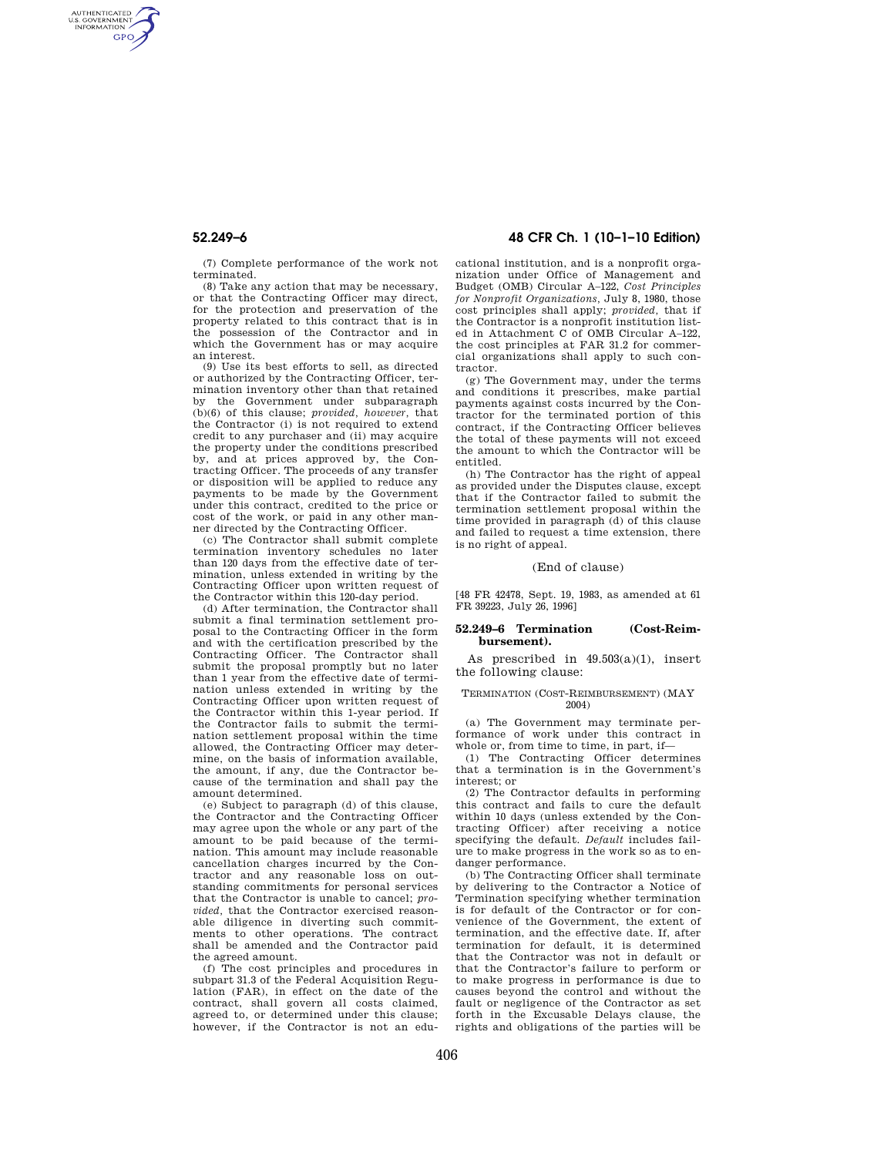AUTHENTICATED<br>U.S. GOVERNMENT<br>INFORMATION GPO.

> (7) Complete performance of the work not terminated.

> (8) Take any action that may be necessary, or that the Contracting Officer may direct, for the protection and preservation of the property related to this contract that is in the possession of the Contractor and in which the Government has or may acquire an interest.

> (9) Use its best efforts to sell, as directed or authorized by the Contracting Officer, termination inventory other than that retained by the Government under subparagraph (b)(6) of this clause; *provided, however,* that the Contractor (i) is not required to extend credit to any purchaser and (ii) may acquire the property under the conditions prescribed by, and at prices approved by, the Contracting Officer. The proceeds of any transfer or disposition will be applied to reduce any payments to be made by the Government under this contract, credited to the price or cost of the work, or paid in any other manner directed by the Contracting Officer.

> (c) The Contractor shall submit complete termination inventory schedules no later than 120 days from the effective date of termination, unless extended in writing by the Contracting Officer upon written request of the Contractor within this 120-day period.

> (d) After termination, the Contractor shall submit a final termination settlement proposal to the Contracting Officer in the form and with the certification prescribed by the Contracting Officer. The Contractor shall submit the proposal promptly but no later than 1 year from the effective date of termination unless extended in writing by the Contracting Officer upon written request of the Contractor within this 1-year period. If the Contractor fails to submit the termination settlement proposal within the time allowed, the Contracting Officer may determine, on the basis of information available, the amount, if any, due the Contractor because of the termination and shall pay the amount determined.

> (e) Subject to paragraph (d) of this clause, the Contractor and the Contracting Officer may agree upon the whole or any part of the amount to be paid because of the termination. This amount may include reasonable cancellation charges incurred by the Contractor and any reasonable loss on outstanding commitments for personal services that the Contractor is unable to cancel; *provided,* that the Contractor exercised reasonable diligence in diverting such commitments to other operations. The contract shall be amended and the Contractor paid the agreed amount.

> (f) The cost principles and procedures in subpart 31.3 of the Federal Acquisition Regulation (FAR), in effect on the date of the contract, shall govern all costs claimed, agreed to, or determined under this clause; however, if the Contractor is not an edu-

# **52.249–6 48 CFR Ch. 1 (10–1–10 Edition)**

cational institution, and is a nonprofit organization under Office of Management and Budget (OMB) Circular A–122, *Cost Principles for Nonprofit Organizations,* July 8, 1980, those cost principles shall apply; *provided,* that if the Contractor is a nonprofit institution listed in Attachment C of OMB Circular A–122, the cost principles at FAR 31.2 for commercial organizations shall apply to such contractor.

(g) The Government may, under the terms and conditions it prescribes, make partial payments against costs incurred by the Contractor for the terminated portion of this contract, if the Contracting Officer believes the total of these payments will not exceed the amount to which the Contractor will be entitled.

(h) The Contractor has the right of appeal as provided under the Disputes clause, except that if the Contractor failed to submit the termination settlement proposal within the time provided in paragraph (d) of this clause and failed to request a time extension, there is no right of appeal.

### (End of clause)

[48 FR 42478, Sept. 19, 1983, as amended at 61 FR 39223, July 26, 1996]

## **52.249–6 Termination (Cost-Reimbursement).**

As prescribed in 49.503(a)(1), insert the following clause:

#### TERMINATION (COST-REIMBURSEMENT) (MAY 2004)

(a) The Government may terminate performance of work under this contract in whole or, from time to time, in part, if—

(1) The Contracting Officer determines that a termination is in the Government's interest; or

(2) The Contractor defaults in performing this contract and fails to cure the default within 10 days (unless extended by the Contracting Officer) after receiving a notice specifying the default. *Default* includes failure to make progress in the work so as to endanger performance.

(b) The Contracting Officer shall terminate by delivering to the Contractor a Notice of Termination specifying whether termination is for default of the Contractor or for convenience of the Government, the extent of termination, and the effective date. If, after termination for default, it is determined that the Contractor was not in default or that the Contractor's failure to perform or to make progress in performance is due to causes beyond the control and without the fault or negligence of the Contractor as set forth in the Excusable Delays clause, the rights and obligations of the parties will be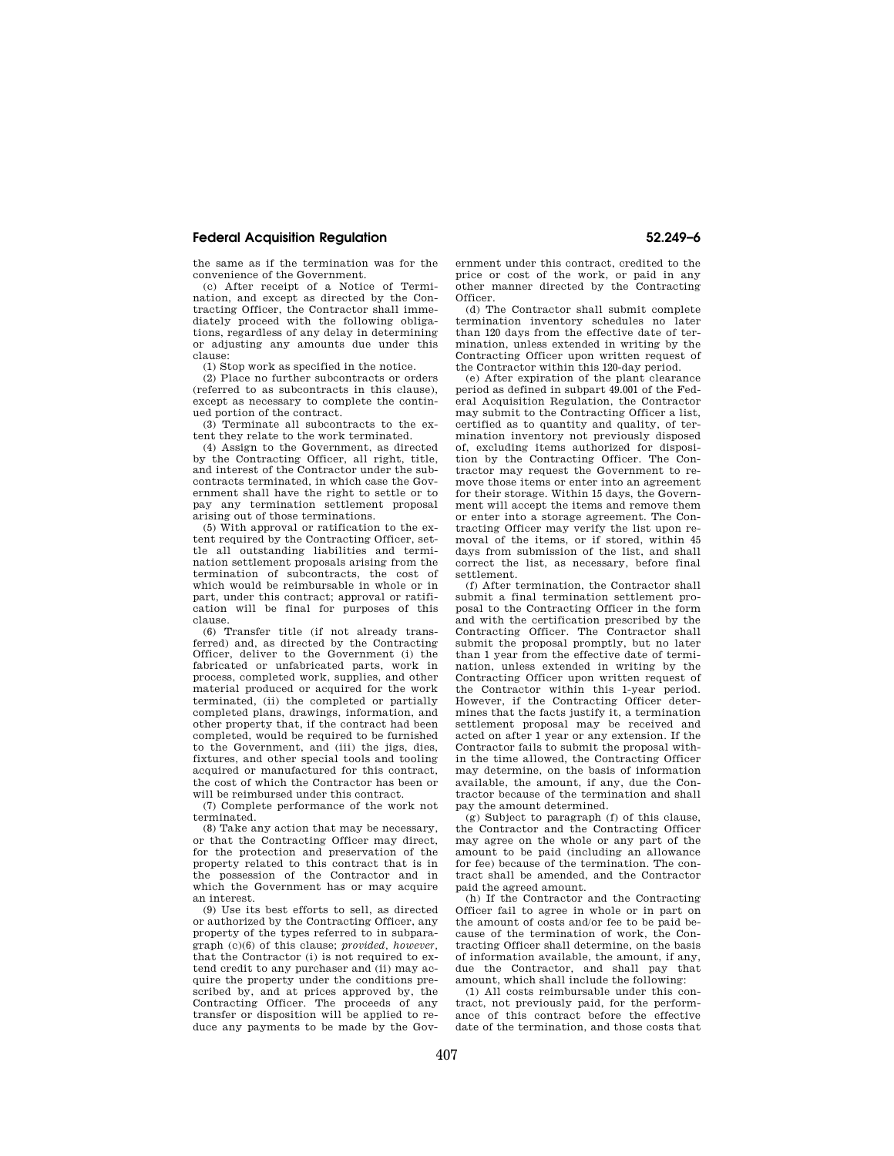# **Federal Acquisition Regulation 52.249–6**

the same as if the termination was for the convenience of the Government.

(c) After receipt of a Notice of Termination, and except as directed by the Contracting Officer, the Contractor shall immediately proceed with the following obligations, regardless of any delay in determining or adjusting any amounts due under this clause:

(1) Stop work as specified in the notice.

(2) Place no further subcontracts or orders (referred to as subcontracts in this clause), except as necessary to complete the continued portion of the contract.

(3) Terminate all subcontracts to the extent they relate to the work terminated.

(4) Assign to the Government, as directed by the Contracting Officer, all right, title, and interest of the Contractor under the subcontracts terminated, in which case the Government shall have the right to settle or to pay any termination settlement proposal arising out of those terminations.

(5) With approval or ratification to the extent required by the Contracting Officer, settle all outstanding liabilities and termination settlement proposals arising from the termination of subcontracts, the cost of which would be reimbursable in whole or in part, under this contract; approval or ratification will be final for purposes of this clause.

(6) Transfer title (if not already transferred) and, as directed by the Contracting Officer, deliver to the Government (i) the fabricated or unfabricated parts, work in process, completed work, supplies, and other material produced or acquired for the work terminated, (ii) the completed or partially completed plans, drawings, information, and other property that, if the contract had been completed, would be required to be furnished to the Government, and (iii) the jigs, dies, fixtures, and other special tools and tooling acquired or manufactured for this contract, the cost of which the Contractor has been or will be reimbursed under this contract.

(7) Complete performance of the work not terminated.

(8) Take any action that may be necessary, or that the Contracting Officer may direct, for the protection and preservation of the property related to this contract that is in the possession of the Contractor and in which the Government has or may acquire an interest.

(9) Use its best efforts to sell, as directed or authorized by the Contracting Officer, any property of the types referred to in subparagraph (c)(6) of this clause; *provided, however,*  that the Contractor (i) is not required to extend credit to any purchaser and (ii) may acquire the property under the conditions prescribed by, and at prices approved by, the Contracting Officer. The proceeds of any transfer or disposition will be applied to reduce any payments to be made by the Government under this contract, credited to the price or cost of the work, or paid in any other manner directed by the Contracting Officer.

(d) The Contractor shall submit complete termination inventory schedules no later than 120 days from the effective date of termination, unless extended in writing by the Contracting Officer upon written request of the Contractor within this 120-day period.

(e) After expiration of the plant clearance period as defined in subpart 49.001 of the Federal Acquisition Regulation, the Contractor may submit to the Contracting Officer a list, certified as to quantity and quality, of termination inventory not previously disposed of, excluding items authorized for disposition by the Contracting Officer. The Contractor may request the Government to remove those items or enter into an agreement for their storage. Within 15 days, the Government will accept the items and remove them or enter into a storage agreement. The Contracting Officer may verify the list upon removal of the items, or if stored, within 45 days from submission of the list, and shall correct the list, as necessary, before final settlement.

(f) After termination, the Contractor shall submit a final termination settlement proposal to the Contracting Officer in the form and with the certification prescribed by the Contracting Officer. The Contractor shall submit the proposal promptly, but no later than 1 year from the effective date of termination, unless extended in writing by the Contracting Officer upon written request of the Contractor within this 1-year period. However, if the Contracting Officer determines that the facts justify it, a termination settlement proposal may be received and acted on after 1 year or any extension. If the Contractor fails to submit the proposal within the time allowed, the Contracting Officer may determine, on the basis of information available, the amount, if any, due the Contractor because of the termination and shall pay the amount determined.

(g) Subject to paragraph (f) of this clause, the Contractor and the Contracting Officer may agree on the whole or any part of the amount to be paid (including an allowance for fee) because of the termination. The contract shall be amended, and the Contractor paid the agreed amount.

(h) If the Contractor and the Contracting Officer fail to agree in whole or in part on the amount of costs and/or fee to be paid because of the termination of work, the Contracting Officer shall determine, on the basis of information available, the amount, if any, due the Contractor, and shall pay that amount, which shall include the following:

(1) All costs reimbursable under this contract, not previously paid, for the performance of this contract before the effective date of the termination, and those costs that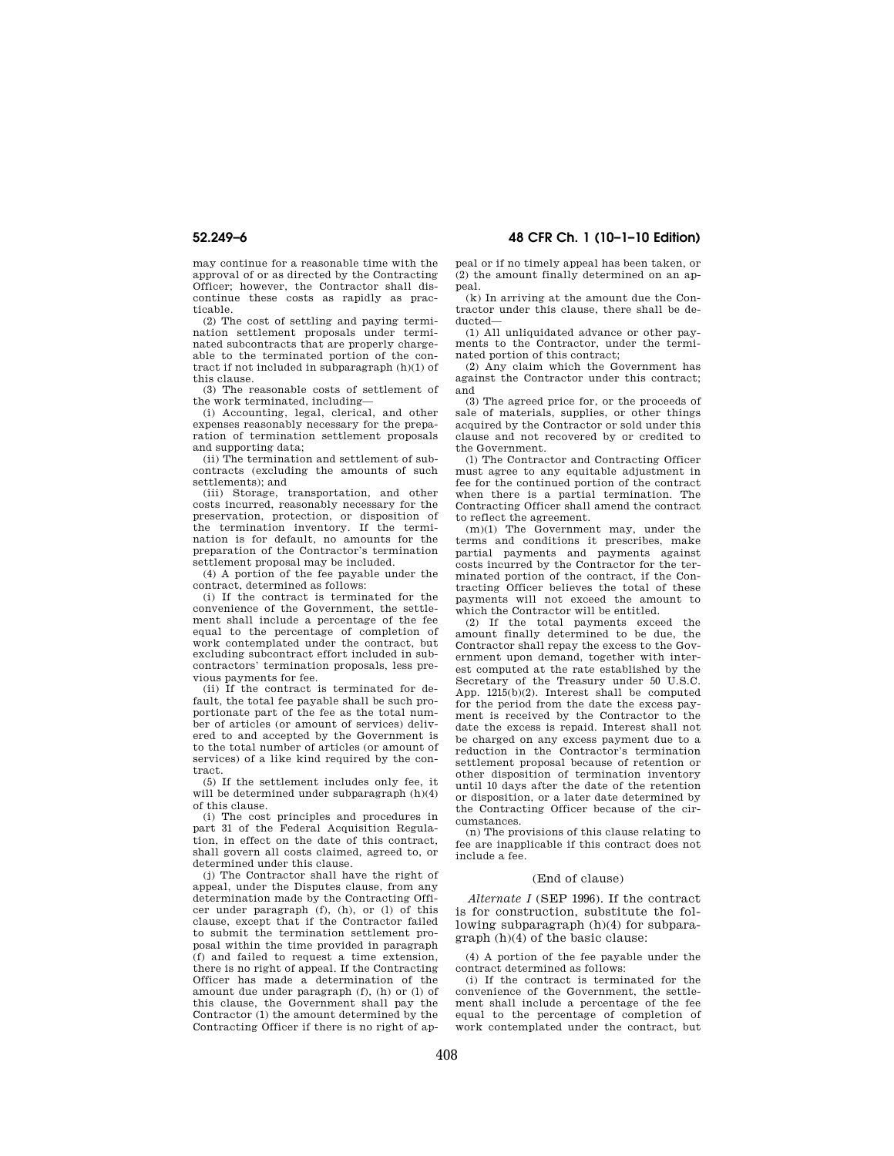may continue for a reasonable time with the approval of or as directed by the Contracting Officer; however, the Contractor shall discontinue these costs as rapidly as practicable.

(2) The cost of settling and paying termination settlement proposals under terminated subcontracts that are properly chargeable to the terminated portion of the contract if not included in subparagraph (h)(1) of this clause.

(3) The reasonable costs of settlement of the work terminated, including—

(i) Accounting, legal, clerical, and other expenses reasonably necessary for the preparation of termination settlement proposals and supporting data;

(ii) The termination and settlement of subcontracts (excluding the amounts of such settlements); and

(iii) Storage, transportation, and other costs incurred, reasonably necessary for the preservation, protection, or disposition of the termination inventory. If the termination is for default, no amounts for the preparation of the Contractor's termination settlement proposal may be included.

(4) A portion of the fee payable under the contract, determined as follows:

(i) If the contract is terminated for the convenience of the Government, the settlement shall include a percentage of the fee equal to the percentage of completion of work contemplated under the contract, but excluding subcontract effort included in subcontractors' termination proposals, less previous payments for fee.

(ii) If the contract is terminated for default, the total fee payable shall be such proportionate part of the fee as the total number of articles (or amount of services) delivered to and accepted by the Government is to the total number of articles (or amount of services) of a like kind required by the contract.

(5) If the settlement includes only fee, it will be determined under subparagraph (h)(4) of this clause.

(i) The cost principles and procedures in part 31 of the Federal Acquisition Regulation, in effect on the date of this contract, shall govern all costs claimed, agreed to, or determined under this clause.

(j) The Contractor shall have the right of appeal, under the Disputes clause, from any determination made by the Contracting Officer under paragraph (f), (h), or (l) of this clause, except that if the Contractor failed to submit the termination settlement proposal within the time provided in paragraph (f) and failed to request a time extension, there is no right of appeal. If the Contracting Officer has made a determination of the amount due under paragraph (f), (h) or (l) of this clause, the Government shall pay the Contractor (1) the amount determined by the Contracting Officer if there is no right of ap-

**52.249–6 48 CFR Ch. 1 (10–1–10 Edition)** 

peal or if no timely appeal has been taken, or (2) the amount finally determined on an appeal.

(k) In arriving at the amount due the Contractor under this clause, there shall be deducted—

(1) All unliquidated advance or other payments to the Contractor, under the terminated portion of this contract;

(2) Any claim which the Government has against the Contractor under this contract; and

(3) The agreed price for, or the proceeds of sale of materials, supplies, or other things acquired by the Contractor or sold under this clause and not recovered by or credited to the Government.

(l) The Contractor and Contracting Officer must agree to any equitable adjustment in fee for the continued portion of the contract when there is a partial termination. The Contracting Officer shall amend the contract to reflect the agreement.

(m)(1) The Government may, under the terms and conditions it prescribes, make partial payments and payments against costs incurred by the Contractor for the terminated portion of the contract, if the Contracting Officer believes the total of these payments will not exceed the amount to which the Contractor will be entitled.

(2) If the total payments exceed the amount finally determined to be due, the Contractor shall repay the excess to the Government upon demand, together with interest computed at the rate established by the Secretary of the Treasury under 50 U.S.C. App. 1215(b)(2). Interest shall be computed for the period from the date the excess payment is received by the Contractor to the date the excess is repaid. Interest shall not be charged on any excess payment due to a reduction in the Contractor's termination settlement proposal because of retention or other disposition of termination inventory until 10 days after the date of the retention or disposition, or a later date determined by the Contracting Officer because of the circumstances.

(n) The provisions of this clause relating to fee are inapplicable if this contract does not include a fee.

### (End of clause)

*Alternate I* (SEP 1996). If the contract is for construction, substitute the following subparagraph (h)(4) for subparagraph (h)(4) of the basic clause:

(4) A portion of the fee payable under the contract determined as follows:

(i) If the contract is terminated for the convenience of the Government, the settlement shall include a percentage of the fee equal to the percentage of completion of work contemplated under the contract, but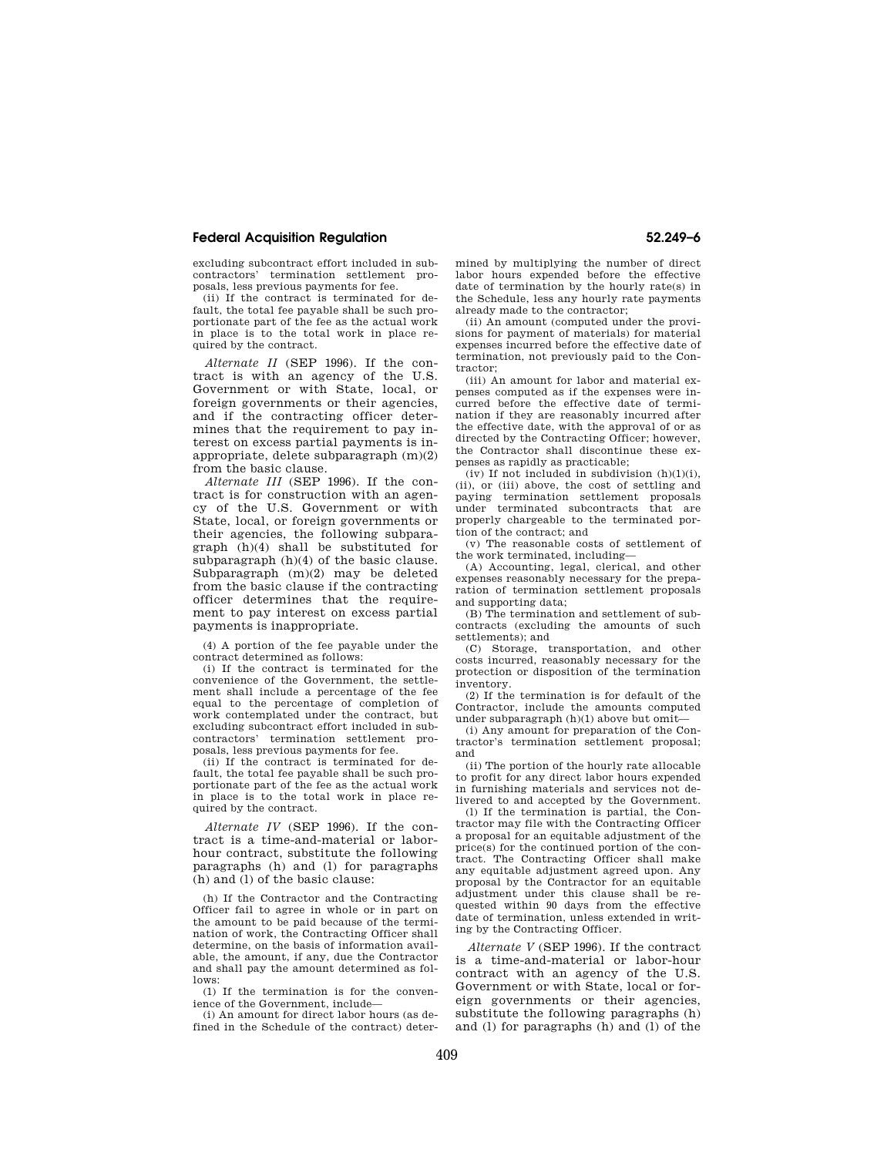# **Federal Acquisition Regulation 52.249–6**

excluding subcontract effort included in subcontractors' termination settlement proposals, less previous payments for fee.

(ii) If the contract is terminated for default, the total fee payable shall be such proportionate part of the fee as the actual work in place is to the total work in place required by the contract.

*Alternate II* (SEP 1996). If the contract is with an agency of the U.S. Government or with State, local, or foreign governments or their agencies, and if the contracting officer determines that the requirement to pay interest on excess partial payments is inappropriate, delete subparagraph (m)(2) from the basic clause.

*Alternate III* (SEP 1996). If the contract is for construction with an agency of the U.S. Government or with State, local, or foreign governments or their agencies, the following subparagraph (h)(4) shall be substituted for subparagraph (h)(4) of the basic clause. Subparagraph (m)(2) may be deleted from the basic clause if the contracting officer determines that the requirement to pay interest on excess partial payments is inappropriate.

(4) A portion of the fee payable under the contract determined as follows:

(i) If the contract is terminated for the convenience of the Government, the settlement shall include a percentage of the fee equal to the percentage of completion of work contemplated under the contract, but excluding subcontract effort included in subcontractors' termination settlement proposals, less previous payments for fee.

(ii) If the contract is terminated for default, the total fee payable shall be such proportionate part of the fee as the actual work in place is to the total work in place required by the contract.

*Alternate IV* (SEP 1996). If the contract is a time-and-material or laborhour contract, substitute the following paragraphs (h) and (l) for paragraphs (h) and (l) of the basic clause:

(h) If the Contractor and the Contracting Officer fail to agree in whole or in part on the amount to be paid because of the termination of work, the Contracting Officer shall determine, on the basis of information available, the amount, if any, due the Contractor and shall pay the amount determined as follows:

(1) If the termination is for the convenience of the Government, include—

(i) An amount for direct labor hours (as defined in the Schedule of the contract) deter-

mined by multiplying the number of direct labor hours expended before the effective date of termination by the hourly rate(s) in the Schedule, less any hourly rate payments already made to the contractor;

(ii) An amount (computed under the provisions for payment of materials) for material expenses incurred before the effective date of termination, not previously paid to the Contractor;

(iii) An amount for labor and material expenses computed as if the expenses were incurred before the effective date of termination if they are reasonably incurred after the effective date, with the approval of or as directed by the Contracting Officer; however, the Contractor shall discontinue these expenses as rapidly as practicable;

(iv) If not included in subdivision  $(h)(1)(i)$ , (ii), or (iii) above, the cost of settling and paying termination settlement proposals under terminated subcontracts that are properly chargeable to the terminated portion of the contract; and

(v) The reasonable costs of settlement of the work terminated, including—

(A) Accounting, legal, clerical, and other expenses reasonably necessary for the preparation of termination settlement proposals and supporting data;

(B) The termination and settlement of subcontracts (excluding the amounts of such settlements); and

(C) Storage, transportation, and other costs incurred, reasonably necessary for the protection or disposition of the termination inventory.

(2) If the termination is for default of the Contractor, include the amounts computed under subparagraph (h)(1) above but omit—

(i) Any amount for preparation of the Contractor's termination settlement proposal; and

(ii) The portion of the hourly rate allocable to profit for any direct labor hours expended in furnishing materials and services not delivered to and accepted by the Government.

(l) If the termination is partial, the Contractor may file with the Contracting Officer a proposal for an equitable adjustment of the price(s) for the continued portion of the contract. The Contracting Officer shall make any equitable adjustment agreed upon. Any proposal by the Contractor for an equitable adjustment under this clause shall be requested within 90 days from the effective date of termination, unless extended in writing by the Contracting Officer.

*Alternate V* (SEP 1996). If the contract is a time-and-material or labor-hour contract with an agency of the U.S. Government or with State, local or foreign governments or their agencies, substitute the following paragraphs (h) and (l) for paragraphs (h) and (l) of the